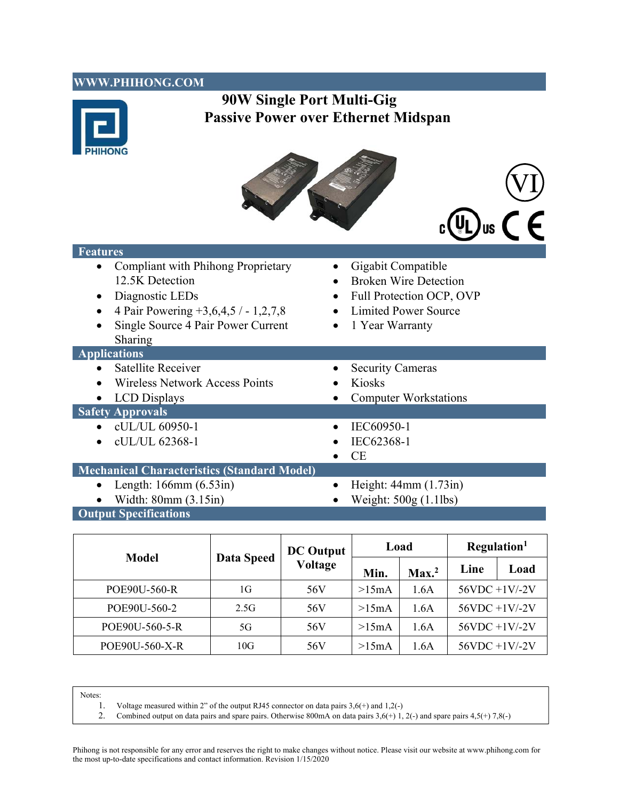#### **WWW.PHIHONG.COM**



# **90W Single Port Multi-Gig Passive Power over Ethernet Midspan**





#### **Features**

- Compliant with Phihong Proprietary 12.5K Detection
- 
- 4 Pair Powering  $+3,6,4,5/ -1,2,7,8$
- Single Source 4 Pair Power Current Sharing

#### **Applications**

- 
- Wireless Network Access Points Kiosks
- 

### **Safety Approvals**

- $\bullet$  cUL/UL 60950-1
- $\bullet$  cUL/UL 62368-1
- Gigabit Compatible
- Broken Wire Detection
- Diagnostic LEDs Full Protection OCP, OVP
	- Limited Power Source
	- 1 Year Warranty
- Satellite Receiver Security Cameras LCD Displays Computer Workstations  $\bullet$  IEC60950-1  $\bullet$  IEC62368-1  $\bullet$  CE

# **Mechanical Characteristics (Standard Model)**

- 
- 
- Length:  $166 \text{mm}$   $(6.53 \text{in})$  Height:  $44 \text{mm}$   $(1.73 \text{in})$
- Width:  $80 \text{mm}$  (3.15in) Weight:  $500 \text{g}$  (1.1lbs)
- **Output Specifications**

| <b>Model</b>   | <b>Data Speed</b> | <b>DC</b> Output<br><b>Voltage</b> | Load  |                   | Regulation <sup>1</sup> |      |
|----------------|-------------------|------------------------------------|-------|-------------------|-------------------------|------|
|                |                   |                                    | Min.  | Max. <sup>2</sup> | Line                    | Load |
| POE90U-560-R   | 1G                | 56V                                | >15mA | 1.6A              | $56VDC +1V$ -2V         |      |
| POE90U-560-2   | 2.5G              | 56V                                | >15mA | 1.6A              | $56VDC +1V$ -2V         |      |
| POE90U-560-5-R | 5G                | 56V                                | >15mA | 1.6A              | $56VDC +1V$ -2V         |      |
| POE90U-560-X-R | 10G               | 56V                                | >15mA | 1.6A              | $56VDC +1V$ -2V         |      |

Notes:

- 1. Voltage measured within 2" of the output RJ45 connector on data pairs  $3.6(+)$  and  $1.2(-)$ <br>2. Combined output on data pairs and spare pairs. Otherwise 800mA on data pairs  $3.6(+)$  1.
- Combined output on data pairs and spare pairs. Otherwise 800mA on data pairs  $3,6(+)$  1, 2(-) and spare pairs  $4,5(+)$  7,8(-)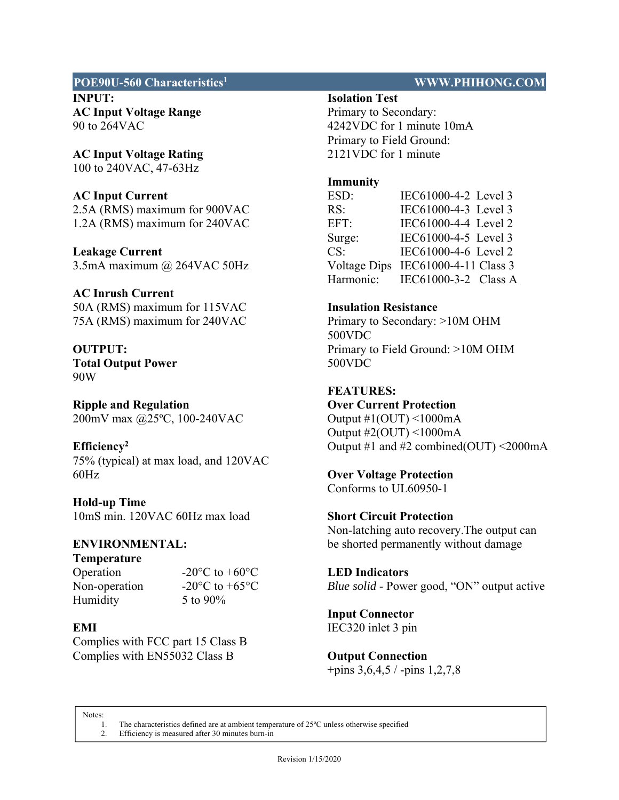#### **POE90U-560 Characteristics1 WWW.PHIHONG.COM**

**INPUT: AC Input Voltage Range**  90 to 264VAC

**AC Input Voltage Rating**  100 to 240VAC, 47-63Hz

# **AC Input Current**

2.5A (RMS) maximum for 900VAC 1.2A (RMS) maximum for 240VAC

**Leakage Current**  3.5mA maximum @ 264VAC 50Hz

**AC Inrush Current**  50A (RMS) maximum for 115VAC 75A (RMS) maximum for 240VAC

**OUTPUT: Total Output Power**  90W

**Ripple and Regulation**  200mV max @25ºC, 100-240VAC

**Efficiency2** 

75% (typical) at max load, and 120VAC 60Hz

**Hold-up Time**  10mS min. 120VAC 60Hz max load

# **ENVIRONMENTAL:**

**Temperature**  Humidity 5 to 90%

Operation  $-20\degree$ C to  $+60\degree$ C Non-operation  $-20\degree$ C to  $+65\degree$ C

### **EMI**

Complies with FCC part 15 Class B Complies with EN55032 Class B

**Isolation Test** 

Primary to Secondary: 4242VDC for 1 minute 10mA Primary to Field Ground: 2121VDC for 1 minute

## **Immunity**

ESD: IEC61000-4-2 Level 3 RS: IEC61000-4-3 Level 3 EFT: IEC61000-4-4 Level 2 Surge: IEC61000-4-5 Level 3 CS: IEC61000-4-6 Level 2 Voltage Dips IEC61000-4-11 Class 3 Harmonic: IEC61000-3-2 Class A

# **Insulation Resistance**

Primary to Secondary: >10M OHM 500VDC Primary to Field Ground: >10M OHM 500VDC

### **FEATURES:**

**Over Current Protection**  Output  $\#1$ (OUT) <1000mA Output #2(OUT) <1000mA Output #1 and #2 combined(OUT)  $\leq$ 2000mA

**Over Voltage Protection** 

Conforms to UL60950-1

**Short Circuit Protection**  Non-latching auto recovery.The output can be shorted permanently without damage

**LED Indicators**  *Blue solid* - Power good, "ON" output active

**Input Connector**  IEC320 inlet 3 pin

**Output Connection**  +pins 3,6,4,5 / -pins 1,2,7,8

Notes:

1. The characteristics defined are at ambient temperature of 25ºC unless otherwise specified 2. Efficiency is measured after 30 minutes burn-in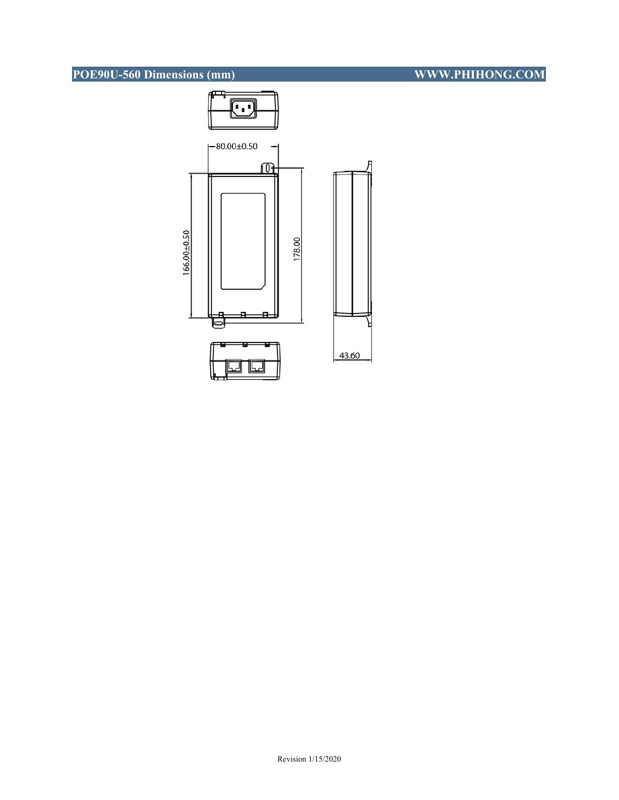# **POE90U-560 Dimensions (mm)** WWW.PHIHONG.COM